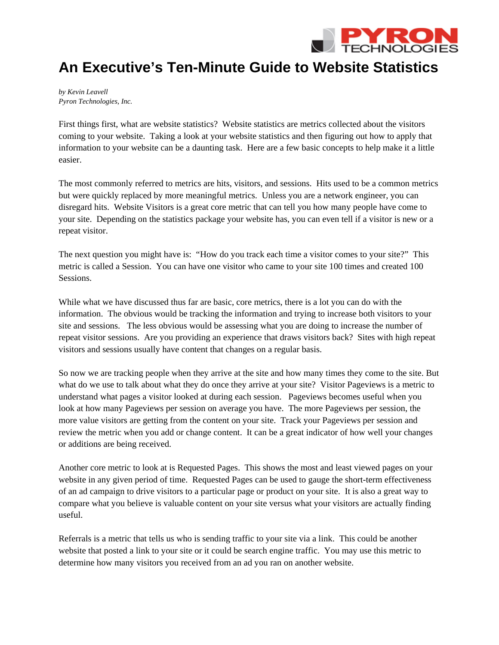

## **An Executive's Ten-Minute Guide to Website Statistics**

*by Kevin Leavell Pyron Technologies, Inc.* 

First things first, what are website statistics? Website statistics are metrics collected about the visitors coming to your website. Taking a look at your website statistics and then figuring out how to apply that information to your website can be a daunting task. Here are a few basic concepts to help make it a little easier.

The most commonly referred to metrics are hits, visitors, and sessions. Hits used to be a common metrics but were quickly replaced by more meaningful metrics. Unless you are a network engineer, you can disregard hits. Website Visitors is a great core metric that can tell you how many people have come to your site. Depending on the statistics package your website has, you can even tell if a visitor is new or a repeat visitor.

The next question you might have is: "How do you track each time a visitor comes to your site?" This metric is called a Session. You can have one visitor who came to your site 100 times and created 100 **Sessions** 

While what we have discussed thus far are basic, core metrics, there is a lot you can do with the information. The obvious would be tracking the information and trying to increase both visitors to your site and sessions. The less obvious would be assessing what you are doing to increase the number of repeat visitor sessions. Are you providing an experience that draws visitors back? Sites with high repeat visitors and sessions usually have content that changes on a regular basis.

So now we are tracking people when they arrive at the site and how many times they come to the site. But what do we use to talk about what they do once they arrive at your site? Visitor Pageviews is a metric to understand what pages a visitor looked at during each session. Pageviews becomes useful when you look at how many Pageviews per session on average you have. The more Pageviews per session, the more value visitors are getting from the content on your site. Track your Pageviews per session and review the metric when you add or change content. It can be a great indicator of how well your changes or additions are being received.

Another core metric to look at is Requested Pages. This shows the most and least viewed pages on your website in any given period of time. Requested Pages can be used to gauge the short-term effectiveness of an ad campaign to drive visitors to a particular page or product on your site. It is also a great way to compare what you believe is valuable content on your site versus what your visitors are actually finding useful.

Referrals is a metric that tells us who is sending traffic to your site via a link. This could be another website that posted a link to your site or it could be search engine traffic. You may use this metric to determine how many visitors you received from an ad you ran on another website.